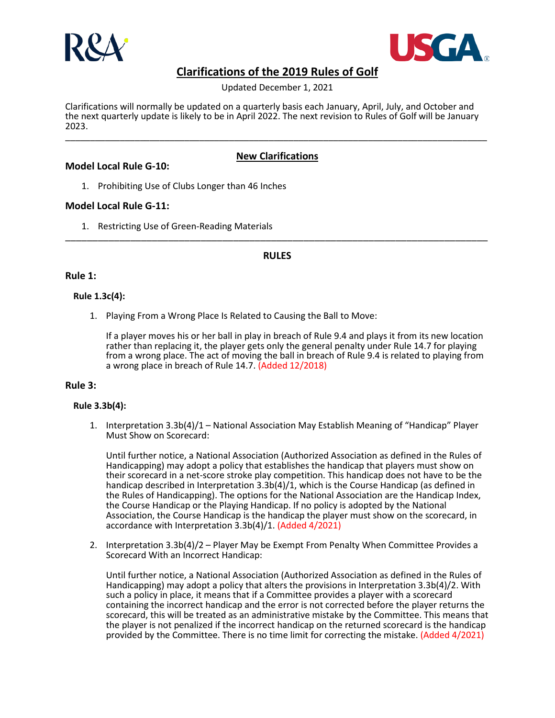



Updated December 1, 2021

Clarifications will normally be updated on a quarterly basis each January, April, July, and October and the next quarterly update is likely to be in April 2022. The next revision to Rules of Golf will be January 2023. \_\_\_\_\_\_\_\_\_\_\_\_\_\_\_\_\_\_\_\_\_\_\_\_\_\_\_\_\_\_\_\_\_\_\_\_\_\_\_\_\_\_\_\_\_\_\_\_\_\_\_\_\_\_\_\_\_\_\_\_\_\_\_\_\_\_\_\_\_\_\_\_\_\_\_\_\_\_\_\_\_\_\_\_\_

# **Model Local Rule G-10:**

## **New Clarifications**

1. Prohibiting Use of Clubs Longer than 46 Inches

## **Model Local Rule G-11:**

1. Restricting Use of Green-Reading Materials \_\_\_\_\_\_\_\_\_\_\_\_\_\_\_\_\_\_\_\_\_\_\_\_\_\_\_\_\_\_\_\_\_\_\_\_\_\_\_\_\_\_\_\_\_\_\_\_\_\_\_\_\_\_\_\_\_\_\_\_\_\_\_\_\_\_\_\_\_\_\_\_\_\_\_\_\_\_

## **RULES**

## **Rule 1:**

### **Rule 1.3c(4):**

1. Playing From a Wrong Place Is Related to Causing the Ball to Move:

If a player moves his or her ball in play in breach of Rule 9.4 and plays it from its new location rather than replacing it, the player gets only the general penalty under Rule 14.7 for playing from a wrong place. The act of moving the ball in breach of Rule 9.4 is related to playing from a wrong place in breach of Rule 14.7. (Added 12/2018)

### **Rule 3:**

### **Rule 3.3b(4):**

1. Interpretation 3.3b(4)/1 – National Association May Establish Meaning of "Handicap" Player Must Show on Scorecard:

Until further notice, a National Association (Authorized Association as defined in the Rules of Handicapping) may adopt a policy that establishes the handicap that players must show on their scorecard in a net-score stroke play competition. This handicap does not have to be the handicap described in Interpretation 3.3b(4)/1, which is the Course Handicap (as defined in the Rules of Handicapping). The options for the National Association are the Handicap Index, the Course Handicap or the Playing Handicap. If no policy is adopted by the National Association, the Course Handicap is the handicap the player must show on the scorecard, in accordance with Interpretation 3.3b(4)/1. (Added 4/2021)

2. Interpretation 3.3b(4)/2 – Player May be Exempt From Penalty When Committee Provides a Scorecard With an Incorrect Handicap:

Until further notice, a National Association (Authorized Association as defined in the Rules of Handicapping) may adopt a policy that alters the provisions in Interpretation 3.3b(4)/2. With such a policy in place, it means that if a Committee provides a player with a scorecard containing the incorrect handicap and the error is not corrected before the player returns the scorecard, this will be treated as an administrative mistake by the Committee. This means that the player is not penalized if the incorrect handicap on the returned scorecard is the handicap provided by the Committee. There is no time limit for correcting the mistake. (Added 4/2021)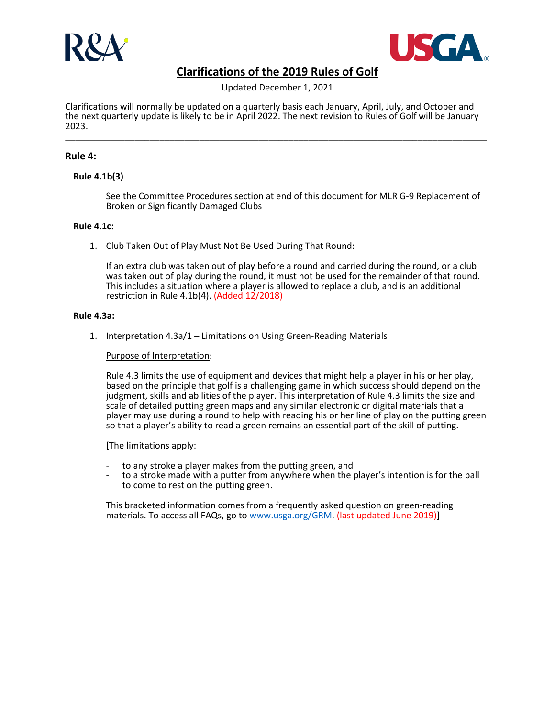



Updated December 1, 2021

Clarifications will normally be updated on a quarterly basis each January, April, July, and October and the next quarterly update is likely to be in April 2022. The next revision to Rules of Golf will be January 2023. \_\_\_\_\_\_\_\_\_\_\_\_\_\_\_\_\_\_\_\_\_\_\_\_\_\_\_\_\_\_\_\_\_\_\_\_\_\_\_\_\_\_\_\_\_\_\_\_\_\_\_\_\_\_\_\_\_\_\_\_\_\_\_\_\_\_\_\_\_\_\_\_\_\_\_\_\_\_\_\_\_\_\_\_\_

## **Rule 4:**

### **Rule 4.1b(3)**

See the Committee Procedures section at end of this document for MLR G-9 Replacement of Broken or Significantly Damaged Clubs

### **Rule 4.1c:**

1. Club Taken Out of Play Must Not Be Used During That Round:

If an extra club was taken out of play before a round and carried during the round, or a club was taken out of play during the round, it must not be used for the remainder of that round. This includes a situation where a player is allowed to replace a club, and is an additional restriction in Rule 4.1b(4). (Added 12/2018)

#### **Rule 4.3a:**

1. Interpretation 4.3a/1 – Limitations on Using Green-Reading Materials

### Purpose of Interpretation:

Rule 4.3 limits the use of equipment and devices that might help a player in his or her play, based on the principle that golf is a challenging game in which success should depend on the judgment, skills and abilities of the player. This interpretation of Rule 4.3 limits the size and scale of detailed putting green maps and any similar electronic or digital materials that a player may use during a round to help with reading his or her line of play on the putting green so that a player's ability to read a green remains an essential part of the skill of putting.

[The limitations apply:

- to any stroke a player makes from the putting green, and
- to a stroke made with a putter from anywhere when the player's intention is for the ball to come to rest on the putting green.

This bracketed information comes from a frequently asked question on green-reading materials. To access all FAQs, go to [www.usga.org/GRM.](http://www.usga.org/GRM) (last updated June 2019)]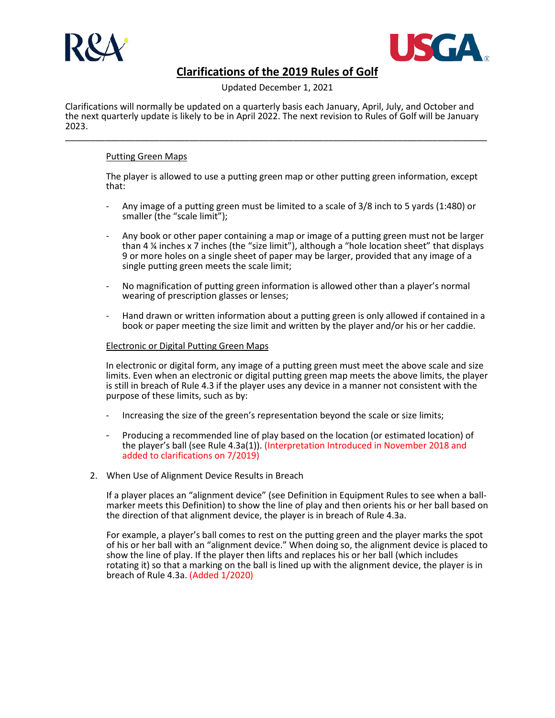



Updated December 1, 2021

Clarifications will normally be updated on a quarterly basis each January, April, July, and October and the next quarterly update is likely to be in April 2022. The next revision to Rules of Golf will be January 2023. \_\_\_\_\_\_\_\_\_\_\_\_\_\_\_\_\_\_\_\_\_\_\_\_\_\_\_\_\_\_\_\_\_\_\_\_\_\_\_\_\_\_\_\_\_\_\_\_\_\_\_\_\_\_\_\_\_\_\_\_\_\_\_\_\_\_\_\_\_\_\_\_\_\_\_\_\_\_\_\_\_\_\_\_\_

## Putting Green Maps

The player is allowed to use a putting green map or other putting green information, except that:

- Any image of a putting green must be limited to a scale of 3/8 inch to 5 yards (1:480) or smaller (the "scale limit");
- Any book or other paper containing a map or image of a putting green must not be larger than 4 ¼ inches x 7 inches (the "size limit"), although a "hole location sheet" that displays 9 or more holes on a single sheet of paper may be larger, provided that any image of a single putting green meets the scale limit;
- No magnification of putting green information is allowed other than a player's normal wearing of prescription glasses or lenses;
- Hand drawn or written information about a putting green is only allowed if contained in a book or paper meeting the size limit and written by the player and/or his or her caddie.

### Electronic or Digital Putting Green Maps

In electronic or digital form, any image of a putting green must meet the above scale and size limits. Even when an electronic or digital putting green map meets the above limits, the player is still in breach of Rule 4.3 if the player uses any device in a manner not consistent with the purpose of these limits, such as by:

- Increasing the size of the green's representation beyond the scale or size limits;
- Producing a recommended line of play based on the location (or estimated location) of the player's ball (see Rule 4.3a(1)). (Interpretation Introduced in November 2018 and added to clarifications on 7/2019)
- 2. When Use of Alignment Device Results in Breach

If a player places an "alignment device" (see Definition in Equipment Rules to see when a ballmarker meets this Definition) to show the line of play and then orients his or her ball based on the direction of that alignment device, the player is in breach of Rule 4.3a.

For example, a player's ball comes to rest on the putting green and the player marks the spot of his or her ball with an "alignment device." When doing so, the alignment device is placed to show the line of play. If the player then lifts and replaces his or her ball (which includes rotating it) so that a marking on the ball is lined up with the alignment device, the player is in breach of Rule 4.3a. (Added 1/2020)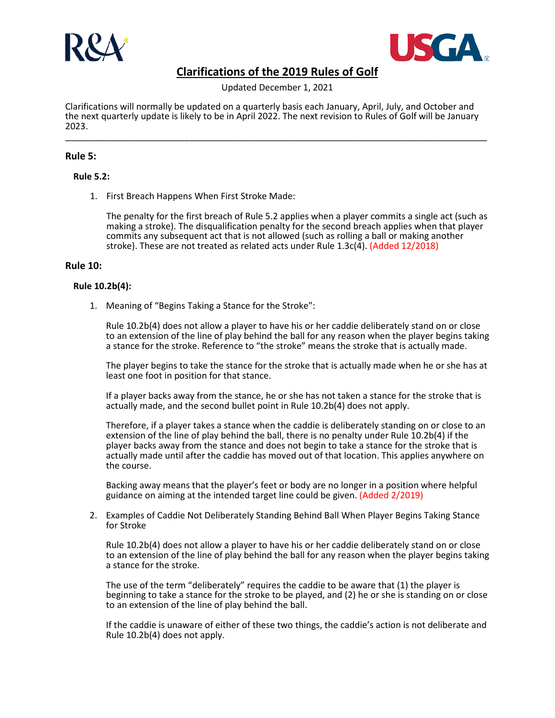



Updated December 1, 2021

Clarifications will normally be updated on a quarterly basis each January, April, July, and October and the next quarterly update is likely to be in April 2022. The next revision to Rules of Golf will be January 2023. \_\_\_\_\_\_\_\_\_\_\_\_\_\_\_\_\_\_\_\_\_\_\_\_\_\_\_\_\_\_\_\_\_\_\_\_\_\_\_\_\_\_\_\_\_\_\_\_\_\_\_\_\_\_\_\_\_\_\_\_\_\_\_\_\_\_\_\_\_\_\_\_\_\_\_\_\_\_\_\_\_\_\_\_\_

## **Rule 5:**

### **Rule 5.2:**

1. First Breach Happens When First Stroke Made:

The penalty for the first breach of Rule 5.2 applies when a player commits a single act (such as making a stroke). The disqualification penalty for the second breach applies when that player commits any subsequent act that is not allowed (such as rolling a ball or making another stroke). These are not treated as related acts under Rule 1.3c(4). (Added 12/2018)

### **Rule 10:**

### **Rule 10.2b(4):**

1. Meaning of "Begins Taking a Stance for the Stroke":

Rule 10.2b(4) does not allow a player to have his or her caddie deliberately stand on or close to an extension of the line of play behind the ball for any reason when the player begins taking a stance for the stroke. Reference to "the stroke" means the stroke that is actually made.

The player begins to take the stance for the stroke that is actually made when he or she has at least one foot in position for that stance.

If a player backs away from the stance, he or she has not taken a stance for the stroke that is actually made, and the second bullet point in Rule 10.2b(4) does not apply.

Therefore, if a player takes a stance when the caddie is deliberately standing on or close to an extension of the line of play behind the ball, there is no penalty under Rule 10.2b(4) if the player backs away from the stance and does not begin to take a stance for the stroke that is actually made until after the caddie has moved out of that location. This applies anywhere on the course.

Backing away means that the player's feet or body are no longer in a position where helpful guidance on aiming at the intended target line could be given. (Added 2/2019)

2. Examples of Caddie Not Deliberately Standing Behind Ball When Player Begins Taking Stance for Stroke

Rule 10.2b(4) does not allow a player to have his or her caddie deliberately stand on or close to an extension of the line of play behind the ball for any reason when the player begins taking a stance for the stroke.

The use of the term "deliberately" requires the caddie to be aware that (1) the player is beginning to take a stance for the stroke to be played, and (2) he or she is standing on or close to an extension of the line of play behind the ball.

If the caddie is unaware of either of these two things, the caddie's action is not deliberate and Rule 10.2b(4) does not apply.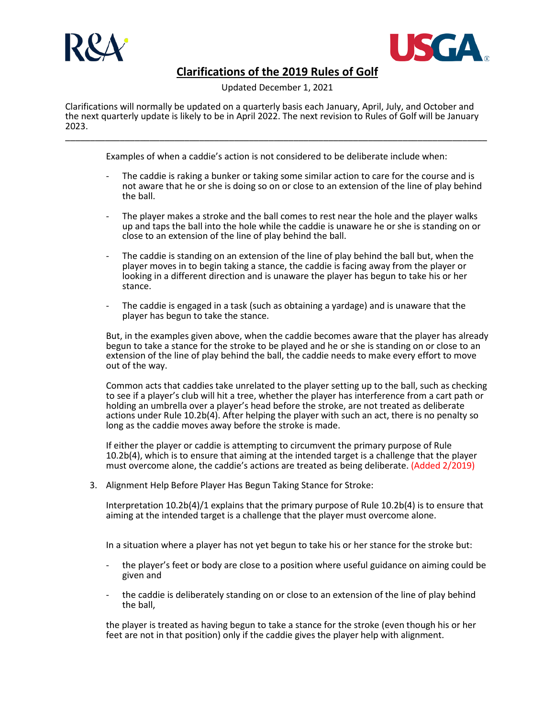



Updated December 1, 2021

Clarifications will normally be updated on a quarterly basis each January, April, July, and October and the next quarterly update is likely to be in April 2022. The next revision to Rules of Golf will be January 2023. \_\_\_\_\_\_\_\_\_\_\_\_\_\_\_\_\_\_\_\_\_\_\_\_\_\_\_\_\_\_\_\_\_\_\_\_\_\_\_\_\_\_\_\_\_\_\_\_\_\_\_\_\_\_\_\_\_\_\_\_\_\_\_\_\_\_\_\_\_\_\_\_\_\_\_\_\_\_\_\_\_\_\_\_\_

Examples of when a caddie's action is not considered to be deliberate include when:

- The caddie is raking a bunker or taking some similar action to care for the course and is not aware that he or she is doing so on or close to an extension of the line of play behind the ball.
- The player makes a stroke and the ball comes to rest near the hole and the player walks up and taps the ball into the hole while the caddie is unaware he or she is standing on or close to an extension of the line of play behind the ball.
- The caddie is standing on an extension of the line of play behind the ball but, when the player moves in to begin taking a stance, the caddie is facing away from the player or looking in a different direction and is unaware the player has begun to take his or her stance.
- The caddie is engaged in a task (such as obtaining a yardage) and is unaware that the player has begun to take the stance.

But, in the examples given above, when the caddie becomes aware that the player has already begun to take a stance for the stroke to be played and he or she is standing on or close to an extension of the line of play behind the ball, the caddie needs to make every effort to move out of the way.

Common acts that caddies take unrelated to the player setting up to the ball, such as checking to see if a player's club will hit a tree, whether the player has interference from a cart path or holding an umbrella over a player's head before the stroke, are not treated as deliberate actions under Rule 10.2b(4). After helping the player with such an act, there is no penalty so long as the caddie moves away before the stroke is made.

If either the player or caddie is attempting to circumvent the primary purpose of Rule 10.2b(4), which is to ensure that aiming at the intended target is a challenge that the player must overcome alone, the caddie's actions are treated as being deliberate. (Added 2/2019)

3. Alignment Help Before Player Has Begun Taking Stance for Stroke:

Interpretation 10.2b(4)/1 explains that the primary purpose of Rule 10.2b(4) is to ensure that aiming at the intended target is a challenge that the player must overcome alone.

In a situation where a player has not yet begun to take his or her stance for the stroke but:

- the player's feet or body are close to a position where useful guidance on aiming could be given and
- the caddie is deliberately standing on or close to an extension of the line of play behind the ball,

the player is treated as having begun to take a stance for the stroke (even though his or her feet are not in that position) only if the caddie gives the player help with alignment.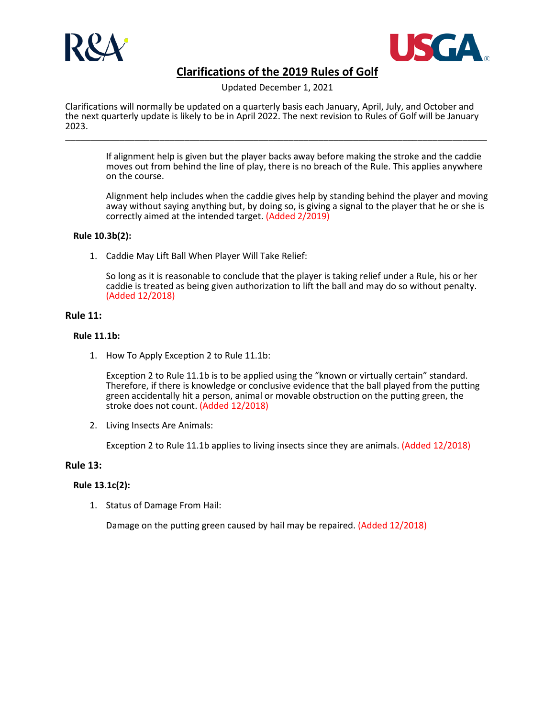



Updated December 1, 2021

Clarifications will normally be updated on a quarterly basis each January, April, July, and October and the next quarterly update is likely to be in April 2022. The next revision to Rules of Golf will be January 2023. \_\_\_\_\_\_\_\_\_\_\_\_\_\_\_\_\_\_\_\_\_\_\_\_\_\_\_\_\_\_\_\_\_\_\_\_\_\_\_\_\_\_\_\_\_\_\_\_\_\_\_\_\_\_\_\_\_\_\_\_\_\_\_\_\_\_\_\_\_\_\_\_\_\_\_\_\_\_\_\_\_\_\_\_\_

If alignment help is given but the player backs away before making the stroke and the caddie moves out from behind the line of play, there is no breach of the Rule. This applies anywhere on the course.

Alignment help includes when the caddie gives help by standing behind the player and moving away without saying anything but, by doing so, is giving a signal to the player that he or she is correctly aimed at the intended target. (Added 2/2019)

## **Rule 10.3b(2):**

1. Caddie May Lift Ball When Player Will Take Relief:

So long as it is reasonable to conclude that the player is taking relief under a Rule, his or her caddie is treated as being given authorization to lift the ball and may do so without penalty. (Added 12/2018)

## **Rule 11:**

## **Rule 11.1b:**

1. How To Apply Exception 2 to Rule 11.1b:

Exception 2 to Rule 11.1b is to be applied using the "known or virtually certain" standard. Therefore, if there is knowledge or conclusive evidence that the ball played from the putting green accidentally hit a person, animal or movable obstruction on the putting green, the stroke does not count. (Added 12/2018)

2. Living Insects Are Animals:

Exception 2 to Rule 11.1b applies to living insects since they are animals. (Added 12/2018)

## **Rule 13:**

## **Rule 13.1c(2):**

1. Status of Damage From Hail:

Damage on the putting green caused by hail may be repaired. (Added 12/2018)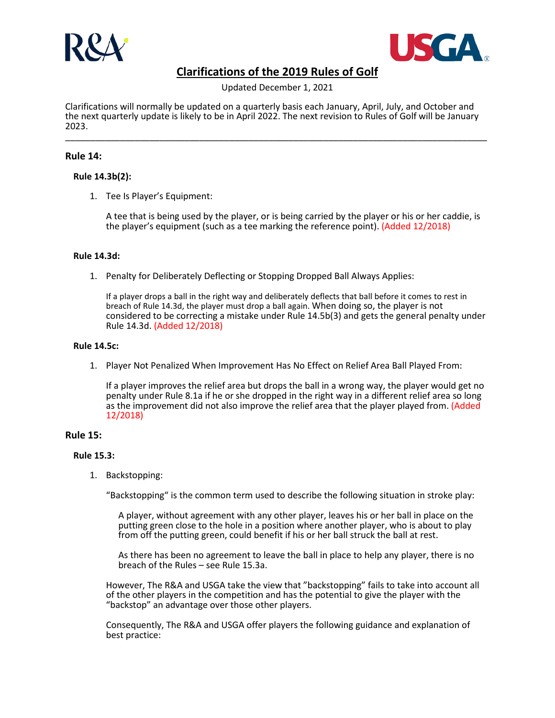



Updated December 1, 2021

Clarifications will normally be updated on a quarterly basis each January, April, July, and October and the next quarterly update is likely to be in April 2022. The next revision to Rules of Golf will be January 2023. \_\_\_\_\_\_\_\_\_\_\_\_\_\_\_\_\_\_\_\_\_\_\_\_\_\_\_\_\_\_\_\_\_\_\_\_\_\_\_\_\_\_\_\_\_\_\_\_\_\_\_\_\_\_\_\_\_\_\_\_\_\_\_\_\_\_\_\_\_\_\_\_\_\_\_\_\_\_\_\_\_\_\_\_\_

## **Rule 14:**

### **Rule 14.3b(2):**

1. Tee Is Player's Equipment:

A tee that is being used by the player, or is being carried by the player or his or her caddie, is the player's equipment (such as a tee marking the reference point). (Added 12/2018)

### **Rule 14.3d:**

1. Penalty for Deliberately Deflecting or Stopping Dropped Ball Always Applies:

If a player drops a ball in the right way and deliberately deflects that ball before it comes to rest in breach of Rule 14.3d, the player must drop a ball again. When doing so, the player is not considered to be correcting a mistake under Rule 14.5b(3) and gets the general penalty under Rule 14.3d. (Added 12/2018)

#### **Rule 14.5c:**

1. Player Not Penalized When Improvement Has No Effect on Relief Area Ball Played From:

If a player improves the relief area but drops the ball in a wrong way, the player would get no penalty under Rule 8.1a if he or she dropped in the right way in a different relief area so long as the improvement did not also improve the relief area that the player played from. (Added 12/2018)

### **Rule 15:**

### **Rule 15.3:**

1. Backstopping:

"Backstopping" is the common term used to describe the following situation in stroke play:

A player, without agreement with any other player, leaves his or her ball in place on the putting green close to the hole in a position where another player, who is about to play from off the putting green, could benefit if his or her ball struck the ball at rest.

As there has been no agreement to leave the ball in place to help any player, there is no breach of the Rules – see Rule 15.3a.

However, The R&A and USGA take the view that "backstopping" fails to take into account all of the other players in the competition and has the potential to give the player with the "backstop" an advantage over those other players.

Consequently, The R&A and USGA offer players the following guidance and explanation of best practice: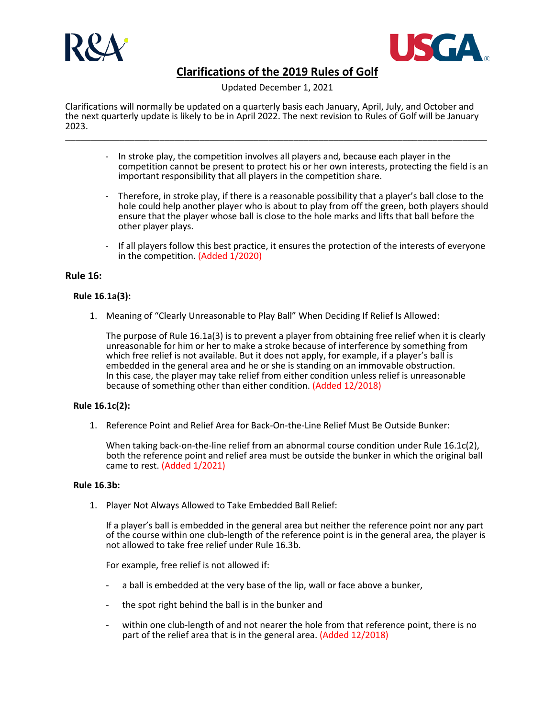



Updated December 1, 2021

Clarifications will normally be updated on a quarterly basis each January, April, July, and October and the next quarterly update is likely to be in April 2022. The next revision to Rules of Golf will be January 2023. \_\_\_\_\_\_\_\_\_\_\_\_\_\_\_\_\_\_\_\_\_\_\_\_\_\_\_\_\_\_\_\_\_\_\_\_\_\_\_\_\_\_\_\_\_\_\_\_\_\_\_\_\_\_\_\_\_\_\_\_\_\_\_\_\_\_\_\_\_\_\_\_\_\_\_\_\_\_\_\_\_\_\_\_\_

- In stroke play, the competition involves all players and, because each player in the competition cannot be present to protect his or her own interests, protecting the field is an important responsibility that all players in the competition share.
- Therefore, in stroke play, if there is a reasonable possibility that a player's ball close to the hole could help another player who is about to play from off the green, both players should ensure that the player whose ball is close to the hole marks and lifts that ball before the other player plays.
- If all players follow this best practice, it ensures the protection of the interests of everyone in the competition. (Added 1/2020)

## **Rule 16:**

### **Rule 16.1a(3):**

1. Meaning of "Clearly Unreasonable to Play Ball" When Deciding If Relief Is Allowed:

The purpose of Rule 16.1a(3) is to prevent a player from obtaining free relief when it is clearly unreasonable for him or her to make a stroke because of interference by something from which free relief is not available. But it does not apply, for example, if a player's ball is embedded in the general area and he or she is standing on an immovable obstruction. In this case, the player may take relief from either condition unless relief is unreasonable because of something other than either condition. (Added 12/2018)

### **Rule 16.1c(2):**

1. Reference Point and Relief Area for Back-On-the-Line Relief Must Be Outside Bunker:

When taking back-on-the-line relief from an abnormal course condition under Rule 16.1c(2), both the reference point and relief area must be outside the bunker in which the original ball came to rest. (Added 1/2021)

### **Rule 16.3b:**

1. Player Not Always Allowed to Take Embedded Ball Relief:

If a player's ball is embedded in the general area but neither the reference point nor any part of the course within one club-length of the reference point is in the general area, the player is not allowed to take free relief under Rule 16.3b.

For example, free relief is not allowed if:

- a ball is embedded at the very base of the lip, wall or face above a bunker,
- the spot right behind the ball is in the bunker and
- within one club-length of and not nearer the hole from that reference point, there is no part of the relief area that is in the general area. (Added 12/2018)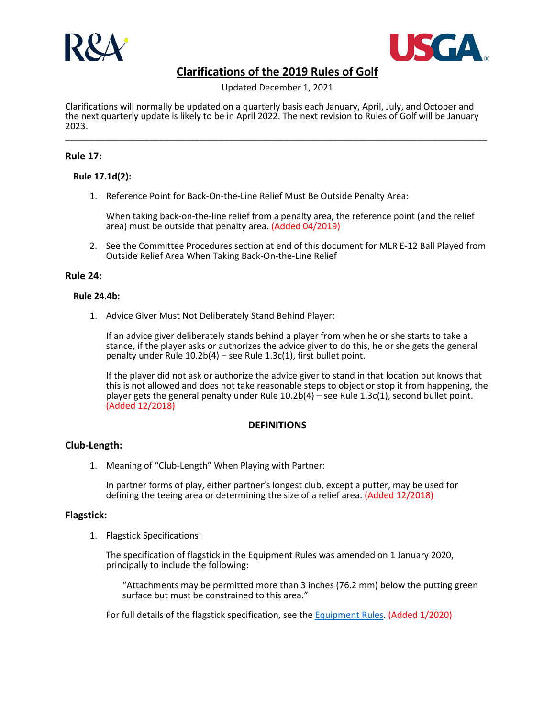



Updated December 1, 2021

Clarifications will normally be updated on a quarterly basis each January, April, July, and October and the next quarterly update is likely to be in April 2022. The next revision to Rules of Golf will be January 2023. \_\_\_\_\_\_\_\_\_\_\_\_\_\_\_\_\_\_\_\_\_\_\_\_\_\_\_\_\_\_\_\_\_\_\_\_\_\_\_\_\_\_\_\_\_\_\_\_\_\_\_\_\_\_\_\_\_\_\_\_\_\_\_\_\_\_\_\_\_\_\_\_\_\_\_\_\_\_\_\_\_\_\_\_\_

## **Rule 17:**

### **Rule 17.1d(2):**

1. Reference Point for Back-On-the-Line Relief Must Be Outside Penalty Area:

When taking back-on-the-line relief from a penalty area, the reference point (and the relief area) must be outside that penalty area. (Added 04/2019)

2. See the Committee Procedures section at end of this document for MLR E-12 Ball Played from Outside Relief Area When Taking Back-On-the-Line Relief

### **Rule 24:**

### **Rule 24.4b:**

1. Advice Giver Must Not Deliberately Stand Behind Player:

If an advice giver deliberately stands behind a player from when he or she starts to take a stance, if the player asks or authorizes the advice giver to do this, he or she gets the general penalty under Rule 10.2b(4) – see Rule 1.3c(1), first bullet point.

If the player did not ask or authorize the advice giver to stand in that location but knows that this is not allowed and does not take reasonable steps to object or stop it from happening, the player gets the general penalty under Rule 10.2b(4) – see Rule 1.3c(1), second bullet point. (Added 12/2018)

### **DEFINITIONS**

## **Club-Length:**

1. Meaning of "Club-Length" When Playing with Partner:

In partner forms of play, either partner's longest club, except a putter, may be used for defining the teeing area or determining the size of a relief area. (Added 12/2018)

### **Flagstick:**

1. Flagstick Specifications:

The specification of flagstick in the Equipment Rules was amended on 1 January 2020, principally to include the following:

"Attachments may be permitted more than 3 inches (76.2 mm) below the putting green surface but must be constrained to this area."

For full details of the flagstick specification, see th[e Equipment Rules.](https://www.usga.org/equipment-standards/equipment-rules-2019/equipment-rules/equipment-rules.html#!ruletype=er§ion=rule&partnum=8&rulenum=1) (Added 1/2020)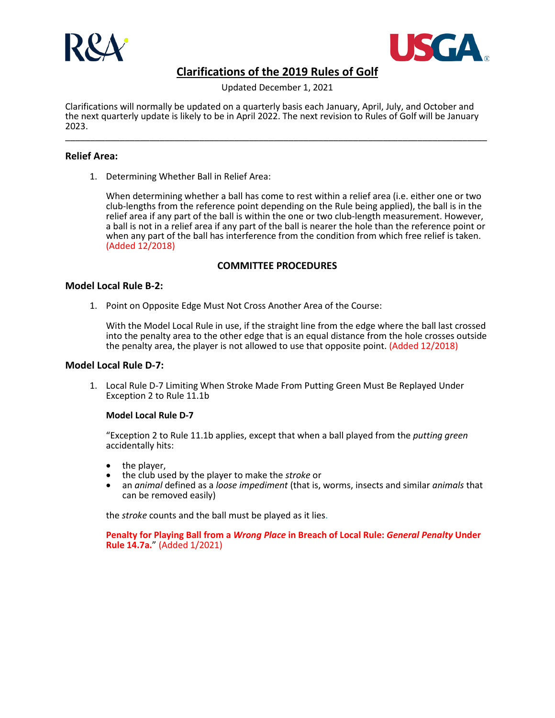



Updated December 1, 2021

Clarifications will normally be updated on a quarterly basis each January, April, July, and October and the next quarterly update is likely to be in April 2022. The next revision to Rules of Golf will be January 2023. \_\_\_\_\_\_\_\_\_\_\_\_\_\_\_\_\_\_\_\_\_\_\_\_\_\_\_\_\_\_\_\_\_\_\_\_\_\_\_\_\_\_\_\_\_\_\_\_\_\_\_\_\_\_\_\_\_\_\_\_\_\_\_\_\_\_\_\_\_\_\_\_\_\_\_\_\_\_\_\_\_\_\_\_\_

## **Relief Area:**

1. Determining Whether Ball in Relief Area:

When determining whether a ball has come to rest within a relief area (i.e. either one or two club-lengths from the reference point depending on the Rule being applied), the ball is in the relief area if any part of the ball is within the one or two club-length measurement. However, a ball is not in a relief area if any part of the ball is nearer the hole than the reference point or when any part of the ball has interference from the condition from which free relief is taken. (Added 12/2018)

## **COMMITTEE PROCEDURES**

## **Model Local Rule B-2:**

1. Point on Opposite Edge Must Not Cross Another Area of the Course:

With the Model Local Rule in use, if the straight line from the edge where the ball last crossed into the penalty area to the other edge that is an equal distance from the hole crosses outside the penalty area, the player is not allowed to use that opposite point. (Added 12/2018)

## **Model Local Rule D-7:**

1. Local Rule D-7 Limiting When Stroke Made From Putting Green Must Be Replayed Under Exception 2 to Rule 11.1b

### **Model Local Rule D-7**

"Exception 2 to Rule 11.1b applies, except that when a ball played from the *putting green* accidentally hits:

- 
- the player, the club used by the player to make the *stroke* or
- an *animal* defined as a *loose impediment* (that is, worms, insects and similar *animals* that can be removed easily)

the *stroke* counts and the ball must be played as it lies.

**Penalty for Playing Ball from a** *Wrong Place* **in Breach of Local Rule:** *General Penalty* **Under Rule 14.7a.**" (Added 1/2021)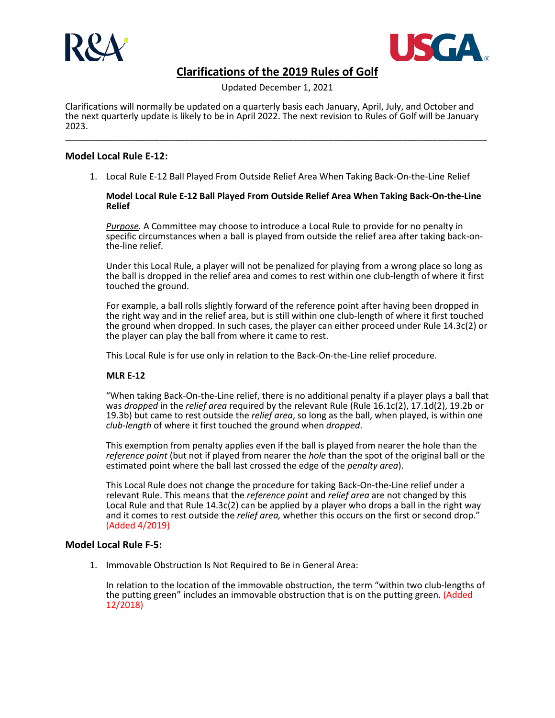



Updated December 1, 2021

Clarifications will normally be updated on a quarterly basis each January, April, July, and October and the next quarterly update is likely to be in April 2022. The next revision to Rules of Golf will be January 2023. \_\_\_\_\_\_\_\_\_\_\_\_\_\_\_\_\_\_\_\_\_\_\_\_\_\_\_\_\_\_\_\_\_\_\_\_\_\_\_\_\_\_\_\_\_\_\_\_\_\_\_\_\_\_\_\_\_\_\_\_\_\_\_\_\_\_\_\_\_\_\_\_\_\_\_\_\_\_\_\_\_\_\_\_\_

## **Model Local Rule E-12:**

1. Local Rule E-12 Ball Played From Outside Relief Area When Taking Back-On-the-Line Relief

#### **Model Local Rule E-12 Ball Played From Outside Relief Area When Taking Back-On-the-Line Relief**

*Purpose.* A Committee may choose to introduce a Local Rule to provide for no penalty in specific circumstances when a ball is played from outside the relief area after taking back-onthe-line relief.

Under this Local Rule, a player will not be penalized for playing from a wrong place so long as the ball is dropped in the relief area and comes to rest within one club-length of where it first touched the ground.

For example, a ball rolls slightly forward of the reference point after having been dropped in the right way and in the relief area, but is still within one club-length of where it first touched the ground when dropped. In such cases, the player can either proceed under Rule 14.3c(2) or the player can play the ball from where it came to rest.

This Local Rule is for use only in relation to the Back-On-the-Line relief procedure.

### **MLR E-12**

"When taking Back-On-the-Line relief, there is no additional penalty if a player plays a ball that was *dropped* in the *relief area* required by the relevant Rule (Rule 16.1c(2), 17.1d(2), 19.2b or 19.3b) but came to rest outside the *relief area*, so long as the ball, when played, is within one *club-length* of where it first touched the ground when *dropped*.

This exemption from penalty applies even if the ball is played from nearer the hole than the *reference point* (but not if played from nearer the *hole* than the spot of the original ball or the estimated point where the ball last crossed the edge of the *penalty area*).

This Local Rule does not change the procedure for taking Back-On-the-Line relief under a relevant Rule. This means that the *reference point* and *relief area* are not changed by this Local Rule and that Rule 14.3c(2) can be applied by a player who drops a ball in the right way and it comes to rest outside the *relief area,* whether this occurs on the first or second drop." (Added 4/2019)

### **Model Local Rule F-5:**

1. Immovable Obstruction Is Not Required to Be in General Area:

In relation to the location of the immovable obstruction, the term "within two club-lengths of the putting green" includes an immovable obstruction that is on the putting green. (Added 12/2018)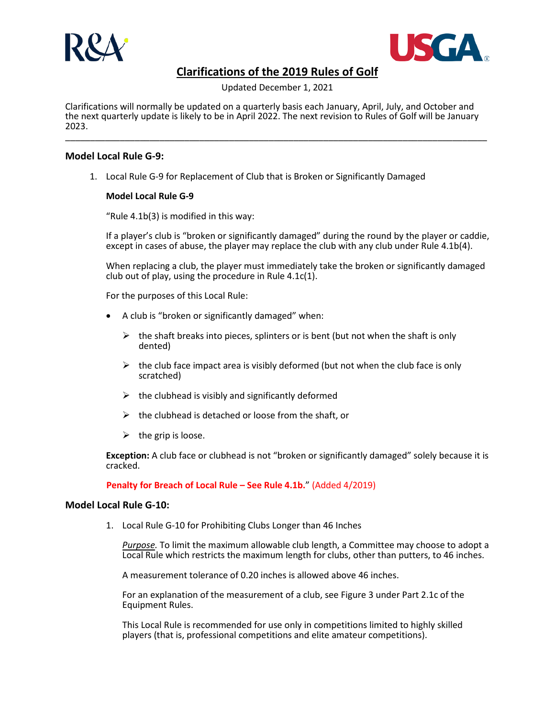



Updated December 1, 2021

Clarifications will normally be updated on a quarterly basis each January, April, July, and October and the next quarterly update is likely to be in April 2022. The next revision to Rules of Golf will be January 2023. \_\_\_\_\_\_\_\_\_\_\_\_\_\_\_\_\_\_\_\_\_\_\_\_\_\_\_\_\_\_\_\_\_\_\_\_\_\_\_\_\_\_\_\_\_\_\_\_\_\_\_\_\_\_\_\_\_\_\_\_\_\_\_\_\_\_\_\_\_\_\_\_\_\_\_\_\_\_\_\_\_\_\_\_\_

## **Model Local Rule G-9:**

1. Local Rule G-9 for Replacement of Club that is Broken or Significantly Damaged

## **Model Local Rule G-9**

"Rule 4.1b(3) is modified in this way:

If a player's club is "broken or significantly damaged" during the round by the player or caddie, except in cases of abuse, the player may replace the club with any club under Rule 4.1b(4).

When replacing a club, the player must immediately take the broken or significantly damaged club out of play, using the procedure in Rule 4.1c(1).

For the purposes of this Local Rule:

- A club is "broken or significantly damaged" when:
	- $\triangleright$  the shaft breaks into pieces, splinters or is bent (but not when the shaft is only dented)
	- $\triangleright$  the club face impact area is visibly deformed (but not when the club face is only scratched)
	- $\triangleright$  the clubhead is visibly and significantly deformed
	- $\triangleright$  the clubhead is detached or loose from the shaft, or
	- $\triangleright$  the grip is loose.

**Exception:** A club face or clubhead is not "broken or significantly damaged" solely because it is cracked.

**Penalty for Breach of Local Rule – See Rule 4.1b.**" (Added 4/2019)

### **Model Local Rule G-10:**

1. Local Rule G-10 for Prohibiting Clubs Longer than 46 Inches

*Purpose.* To limit the maximum allowable club length, a Committee may choose to adopt a Local Rule which restricts the maximum length for clubs, other than putters, to 46 inches.

A measurement tolerance of 0.20 inches is allowed above 46 inches.

For an explanation of the measurement of a club, see Figure 3 under Part 2.1c of the Equipment Rules.

This Local Rule is recommended for use only in competitions limited to highly skilled players (that is, professional competitions and elite amateur competitions).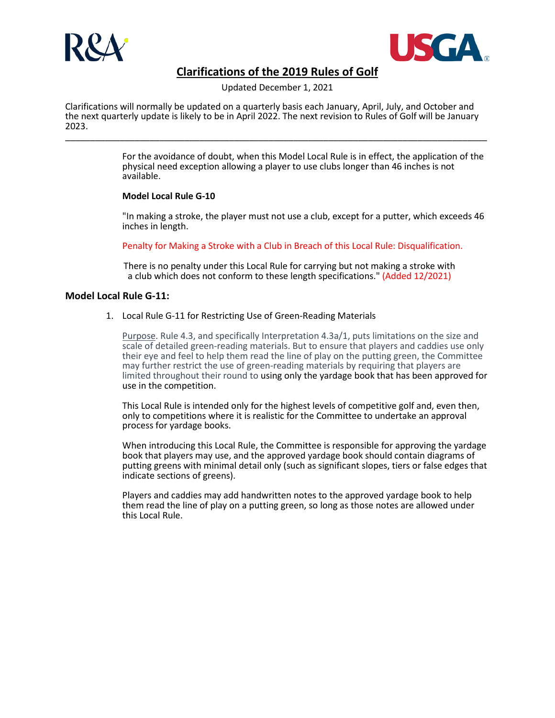



Updated December 1, 2021

Clarifications will normally be updated on a quarterly basis each January, April, July, and October and the next quarterly update is likely to be in April 2022. The next revision to Rules of Golf will be January 2023. \_\_\_\_\_\_\_\_\_\_\_\_\_\_\_\_\_\_\_\_\_\_\_\_\_\_\_\_\_\_\_\_\_\_\_\_\_\_\_\_\_\_\_\_\_\_\_\_\_\_\_\_\_\_\_\_\_\_\_\_\_\_\_\_\_\_\_\_\_\_\_\_\_\_\_\_\_\_\_\_\_\_\_\_\_

> For the avoidance of doubt, when this Model Local Rule is in effect, the application of the physical need exception allowing a player to use clubs longer than 46 inches is not available.

## **Model Local Rule G-10**

"In making a stroke, the player must not use a club, except for a putter, which exceeds 46 inches in length.

Penalty for Making a Stroke with a Club in Breach of this Local Rule: Disqualification.

There is no penalty under this Local Rule for carrying but not making a stroke with a club which does not conform to these length specifications." (Added 12/2021)

## **Model Local Rule G-11:**

1. Local Rule G-11 for Restricting Use of Green-Reading Materials

Purpose. Rule 4.3, and specifically Interpretation 4.3a/1, puts limitations on the size and scale of detailed green-reading materials. But to ensure that players and caddies use only their eye and feel to help them read the line of play on the putting green, the Committee may further restrict the use of green-reading materials by requiring that players are limited throughout their round to using only the yardage book that has been approved for use in the competition.

This Local Rule is intended only for the highest levels of competitive golf and, even then, only to competitions where it is realistic for the Committee to undertake an approval process for yardage books.

When introducing this Local Rule, the Committee is responsible for approving the yardage book that players may use, and the approved yardage book should contain diagrams of putting greens with minimal detail only (such as significant slopes, tiers or false edges that indicate sections of greens).

Players and caddies may add handwritten notes to the approved yardage book to help them read the line of play on a putting green, so long as those notes are allowed under this Local Rule.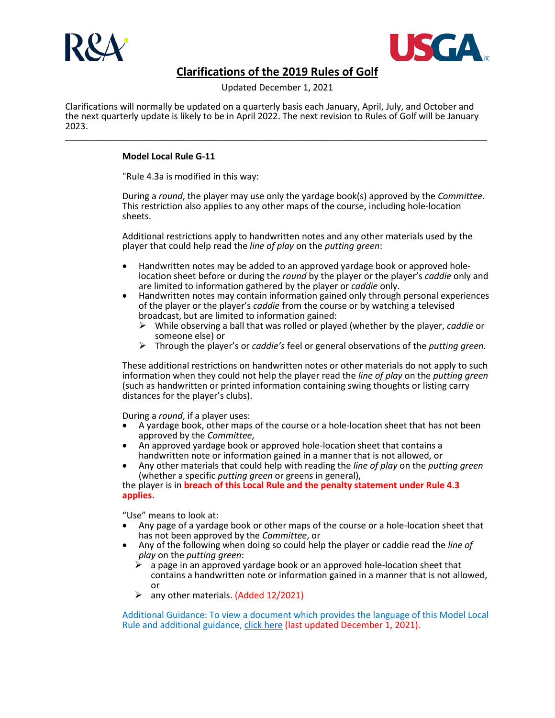



Updated December 1, 2021

Clarifications will normally be updated on a quarterly basis each January, April, July, and October and the next quarterly update is likely to be in April 2022. The next revision to Rules of Golf will be January 2023. \_\_\_\_\_\_\_\_\_\_\_\_\_\_\_\_\_\_\_\_\_\_\_\_\_\_\_\_\_\_\_\_\_\_\_\_\_\_\_\_\_\_\_\_\_\_\_\_\_\_\_\_\_\_\_\_\_\_\_\_\_\_\_\_\_\_\_\_\_\_\_\_\_\_\_\_\_\_\_\_\_\_\_\_\_

## **Model Local Rule G-11**

"Rule 4.3a is modified in this way:

During a *round*, the player may use only the yardage book(s) approved by the *Committee*. This restriction also applies to any other maps of the course, including hole-location sheets.

Additional restrictions apply to handwritten notes and any other materials used by the player that could help read the *line of play* on the *putting green*:

- Handwritten notes may be added to an approved yardage book or approved hole- location sheet before or during the *round* by the player or the player's *caddie* only and are limited to information gathered by the player or *caddie* only.
- Handwritten notes may contain information gained only through personal experiences of the player or the player's *caddie* from the course or by watching a televised broadcast, but are limited to information gained:
	- While observing a ball that was rolled or played (whether by the player, *caddie* or someone else) or
	- Through the player's or *caddie's* feel or general observations of the *putting green.*

These additional restrictions on handwritten notes or other materials do not apply to such information when they could not help the player read the *line of play* on the *putting green* (such as handwritten or printed information containing swing thoughts or listing carry distances for the player's clubs).

During a *round*, if a player uses:

- A yardage book, other maps of the course or a hole-location sheet that has not been approved by the *Committee*,
- An approved yardage book or approved hole-location sheet that contains a handwritten note or information gained in a manner that is not allowed, or
- handwritten note or information gained in a manner that is not allowed, or Any other materials that could help with reading the *line of play* on the *putting green* (whether a specific *putting green* or greens in general),

the player is in **breach of this Local Rule and the penalty statement under Rule 4.3 applies**.

"Use" means to look at:

- Any page of a yardage book or other maps of the course or a hole-location sheet that has not been approved by the *Committee*, or
- Any of the following when doing so could help the player or caddie read the *line of play* on the *putting green*:
	- $\triangleright$  a page in an approved yardage book or an approved hole-location sheet that contains a handwritten note or information gained in a manner that is not allowed, or
	- $\triangleright$  any other materials. (Added 12/2021)

Additional Guidance: To view a document which provides the language of this Model Local Rule and additional guidance[, click here](https://www.usga.org/content/dam/usga/pdf/2021/rules/MLR-G11-and-Additional-Guidance-FINAL.pdf) (last updated December 1, 2021).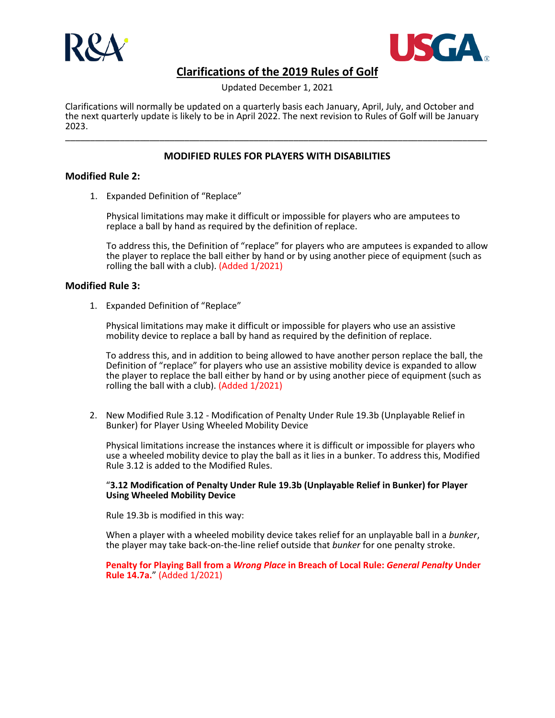



Updated December 1, 2021

Clarifications will normally be updated on a quarterly basis each January, April, July, and October and the next quarterly update is likely to be in April 2022. The next revision to Rules of Golf will be January 2023. \_\_\_\_\_\_\_\_\_\_\_\_\_\_\_\_\_\_\_\_\_\_\_\_\_\_\_\_\_\_\_\_\_\_\_\_\_\_\_\_\_\_\_\_\_\_\_\_\_\_\_\_\_\_\_\_\_\_\_\_\_\_\_\_\_\_\_\_\_\_\_\_\_\_\_\_\_\_\_\_\_\_\_\_\_

## **MODIFIED RULES FOR PLAYERS WITH DISABILITIES**

### **Modified Rule 2:**

1. Expanded Definition of "Replace"

Physical limitations may make it difficult or impossible for players who are amputees to replace a ball by hand as required by the definition of replace.

To address this, the Definition of "replace" for players who are amputees is expanded to allow the player to replace the ball either by hand or by using another piece of equipment (such as rolling the ball with a club). (Added 1/2021)

### **Modified Rule 3:**

1. Expanded Definition of "Replace"

Physical limitations may make it difficult or impossible for players who use an assistive mobility device to replace a ball by hand as required by the definition of replace.

To address this, and in addition to being allowed to have another person replace the ball, the Definition of "replace" for players who use an assistive mobility device is expanded to allow the player to replace the ball either by hand or by using another piece of equipment (such as rolling the ball with a club). (Added 1/2021)

2. New Modified Rule 3.12 - Modification of Penalty Under Rule 19.3b (Unplayable Relief in Bunker) for Player Using Wheeled Mobility Device

Physical limitations increase the instances where it is difficult or impossible for players who use a wheeled mobility device to play the ball as it lies in a bunker. To address this, Modified Rule 3.12 is added to the Modified Rules.

#### "**3.12 Modification of Penalty Under Rule 19.3b (Unplayable Relief in Bunker) for Player Using Wheeled Mobility Device**

Rule 19.3b is modified in this way:

When a player with a wheeled mobility device takes relief for an unplayable ball in a *bunker*, the player may take back-on-the-line relief outside that *bunker* for one penalty stroke.

**Penalty for Playing Ball from a** *Wrong Place* **in Breach of Local Rule:** *General Penalty* **Under Rule 14.7a.**" (Added 1/2021)